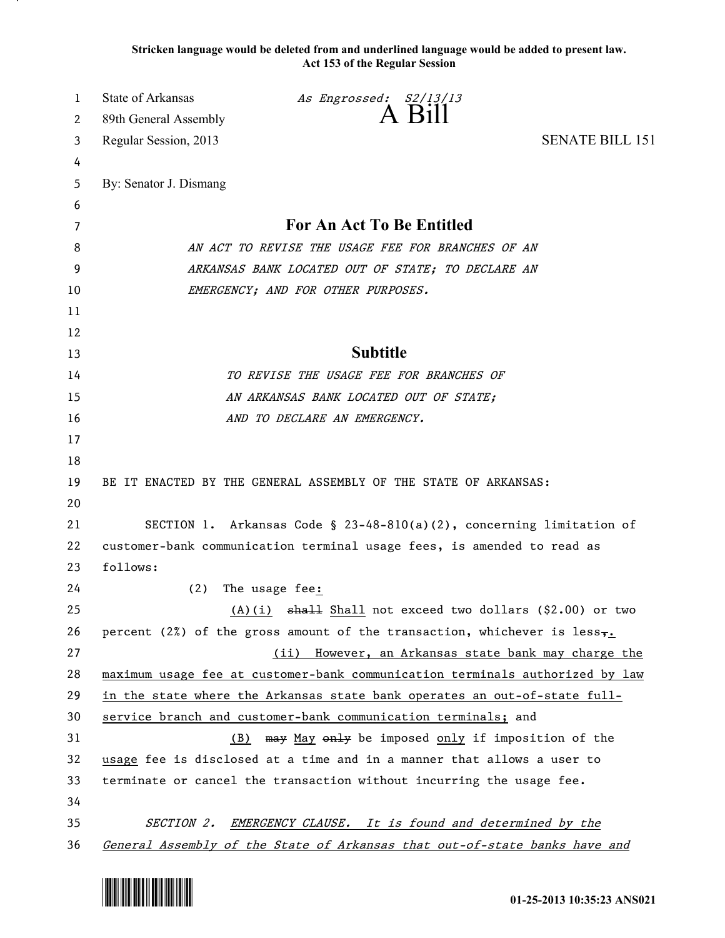**Stricken language would be deleted from and underlined language would be added to present law. Act 153 of the Regular Session**

| 1        | <b>State of Arkansas</b>                                                                                                                                  | As Engrossed: S2/13/13                                                                 |                        |
|----------|-----------------------------------------------------------------------------------------------------------------------------------------------------------|----------------------------------------------------------------------------------------|------------------------|
| 2        | 89th General Assembly                                                                                                                                     | A Bill                                                                                 |                        |
| 3        | Regular Session, 2013                                                                                                                                     |                                                                                        | <b>SENATE BILL 151</b> |
| 4        |                                                                                                                                                           |                                                                                        |                        |
| 5        | By: Senator J. Dismang                                                                                                                                    |                                                                                        |                        |
| 6        |                                                                                                                                                           |                                                                                        |                        |
| 7        | For An Act To Be Entitled                                                                                                                                 |                                                                                        |                        |
| 8        | AN ACT TO REVISE THE USAGE FEE FOR BRANCHES OF AN                                                                                                         |                                                                                        |                        |
| 9        | ARKANSAS BANK LOCATED OUT OF STATE; TO DECLARE AN                                                                                                         |                                                                                        |                        |
| 10       | EMERGENCY; AND FOR OTHER PURPOSES.                                                                                                                        |                                                                                        |                        |
| 11       |                                                                                                                                                           |                                                                                        |                        |
| 12       |                                                                                                                                                           |                                                                                        |                        |
| 13       |                                                                                                                                                           | <b>Subtitle</b>                                                                        |                        |
| 14       | TO REVISE THE USAGE FEE FOR BRANCHES OF                                                                                                                   |                                                                                        |                        |
| 15       | AN ARKANSAS BANK LOCATED OUT OF STATE;                                                                                                                    |                                                                                        |                        |
| 16       |                                                                                                                                                           | AND TO DECLARE AN EMERGENCY.                                                           |                        |
| 17       |                                                                                                                                                           |                                                                                        |                        |
| 18       |                                                                                                                                                           |                                                                                        |                        |
| 19       |                                                                                                                                                           | BE IT ENACTED BY THE GENERAL ASSEMBLY OF THE STATE OF ARKANSAS:                        |                        |
| 20       |                                                                                                                                                           |                                                                                        |                        |
| 21       | SECTION 1. Arkansas Code § 23-48-810(a)(2), concerning limitation of                                                                                      |                                                                                        |                        |
| 22       |                                                                                                                                                           | customer-bank communication terminal usage fees, is amended to read as                 |                        |
| 23       | follows:                                                                                                                                                  |                                                                                        |                        |
| 24       | (2)                                                                                                                                                       | The usage fee:                                                                         |                        |
| 25       |                                                                                                                                                           | $(A)(i)$ shall Shall not exceed two dollars (\$2.00) or two                            |                        |
| 26       |                                                                                                                                                           | percent (2%) of the gross amount of the transaction, whichever is less $\frac{1}{2}$ . |                        |
| 27       |                                                                                                                                                           | (ii) However, an Arkansas state bank may charge the                                    |                        |
| 28       | maximum usage fee at customer-bank communication terminals authorized by law<br>in the state where the Arkansas state bank operates an out-of-state full- |                                                                                        |                        |
| 29<br>30 |                                                                                                                                                           |                                                                                        |                        |
| 31       |                                                                                                                                                           | service branch and customer-bank communication terminals; and                          |                        |
| 32       | may May only be imposed only if imposition of the<br>(B)<br>usage fee is disclosed at a time and in a manner that allows a user to                        |                                                                                        |                        |
| 33       | terminate or cancel the transaction without incurring the usage fee.                                                                                      |                                                                                        |                        |
| 34       |                                                                                                                                                           |                                                                                        |                        |
| 35       |                                                                                                                                                           | SECTION 2. EMERGENCY CLAUSE. It is found and determined by the                         |                        |
| 36       |                                                                                                                                                           | General Assembly of the State of Arkansas that out-of-state banks have and             |                        |